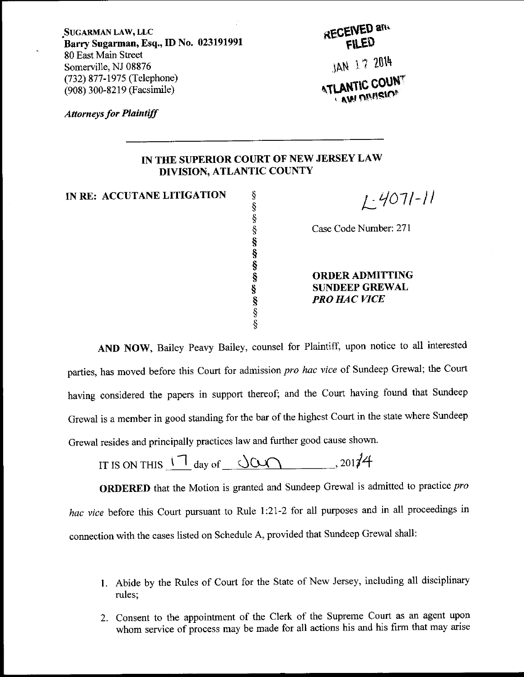SUGARMAN LAw, LLc Barry Sugarman, Esq., ID No. 023191991 80 East Main Street Somerville, NJ 08876 (732) 877-1975 (Telephone) (908) 300-8219 (Facsimile)

**RECEIVED and** 

JAN 17 2014 **" AM DIVIEIO!** 

**Attorneys for Plaintiff** 

## IN THE SUPERIOR COURT OF NEWJERSEYLAW DIVISION, ATLANTIC COUNTY

IN RE: ACCUTANE LITIGATION

\$ \$ \$ s s s s \$ s s \$

 $L$ -4071-11

Case Code Number: 271

ORDERADMITTING SUNDEEPGREWAL PRO HAC VICE

AND NOW, Bailey Peavy Bailey, counsel for Plaintiff, upon notice to all interested parties, has moved before this Court for admission pro hac vice of Sundeep Grewal; the Court having considered the papers in support thereof; and the Court having found that Sundeep Grewal is a member in good standing for the bar of the highest Court in the state where Sundeep Grewal resides and principally practices law and further good cause shown'

IT IS ON THIS  $\frac{1}{2}$  day of  $\frac{1000}{2}$ , 2017

ORDERED that the Motion is granted and Sundeep Grewal is admitted to practice pro hac vice before this Court pursuant to Rule 1:21-2 for all purposes and in all proceedings in connection with the cases listed on Schedule A, provided that Sundeep Grewal shall:

- l. Abide by the Rules of court for the State of New Jersey, including all disciplinary rules;
- 2. Consent to the appointment of the Clerk of the Supreme Court as an agent upon whom service of process may be made for all actions his and his firm that may arise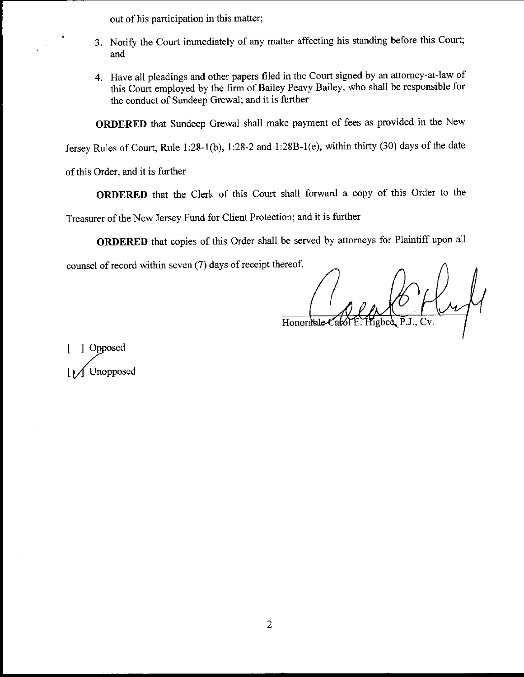out of his participation in this matter;

- 3. Notify the Court immediately of any matter affecting his standing before this Court; and
- 4. Have all pleadings and other papers filed in the court signed by an attomey-at-law of this court employed by the firm of Bailey Peavy Bailey, who shall be responsible for the conduct of Sundeep Grewal; and it is further

oRDERED that Sundeep Grewal shall make payment of fees as provided in the New

Jersey Rules of court, Rule l:28-1(b), 1:28-2 and 1:28B-1(e), within thirty (30) days of the date

of this Order, and it is further

oRDERED that the clerk of this court shall forward a copy of this order to the

Treasurer of the New Jersey Fund for Client Protection; and it is further

ORDERED that copies of this Order shall be served by attomeys for Plaintiff upon all

counsel of record within seven (7) days of receipt thereof.

Honorable-Cal

[ ] Opposed Unopposed